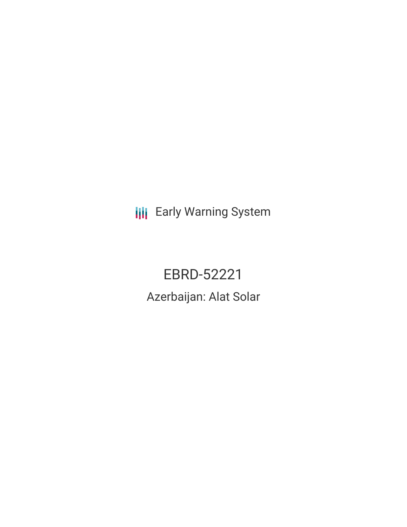**III** Early Warning System

EBRD-52221 Azerbaijan: Alat Solar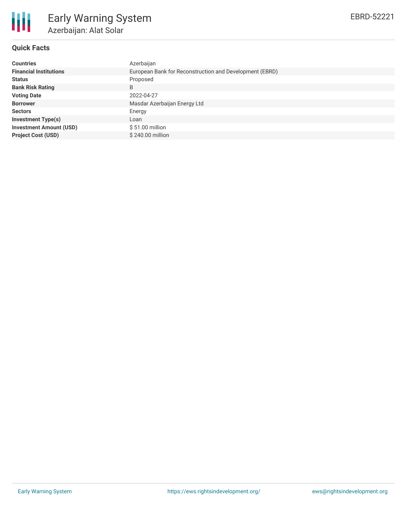

# **Quick Facts**

| <b>Countries</b>               | Azerbaijan                                              |  |  |  |  |
|--------------------------------|---------------------------------------------------------|--|--|--|--|
| <b>Financial Institutions</b>  | European Bank for Reconstruction and Development (EBRD) |  |  |  |  |
| <b>Status</b>                  | Proposed                                                |  |  |  |  |
| <b>Bank Risk Rating</b>        | B                                                       |  |  |  |  |
| <b>Voting Date</b>             | 2022-04-27                                              |  |  |  |  |
| <b>Borrower</b>                | Masdar Azerbaijan Energy Ltd                            |  |  |  |  |
| <b>Sectors</b>                 | Energy                                                  |  |  |  |  |
| <b>Investment Type(s)</b>      | Loan                                                    |  |  |  |  |
| <b>Investment Amount (USD)</b> | $$51.00$ million                                        |  |  |  |  |
| <b>Project Cost (USD)</b>      | \$240.00 million                                        |  |  |  |  |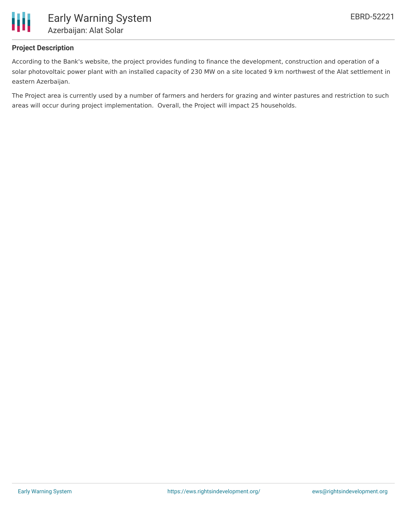

### **Project Description**

According to the Bank's website, the project provides funding to finance the development, construction and operation of a solar photovoltaic power plant with an installed capacity of 230 MW on a site located 9 km northwest of the Alat settlement in eastern Azerbaijan.

The Project area is currently used by a number of farmers and herders for grazing and winter pastures and restriction to such areas will occur during project implementation. Overall, the Project will impact 25 households.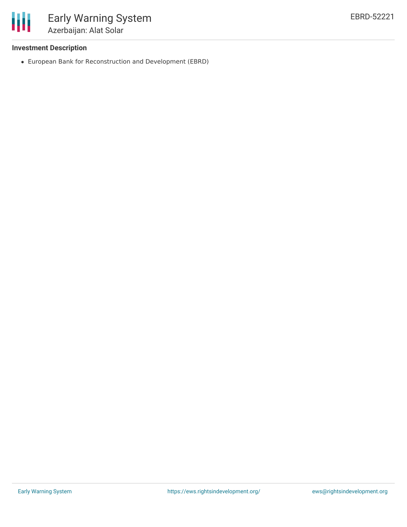

# **Investment Description**

European Bank for Reconstruction and Development (EBRD)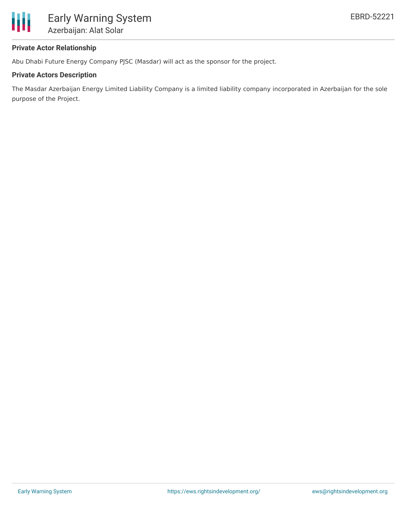

# **Private Actor Relationship**

Abu Dhabi Future Energy Company PJSC (Masdar) will act as the sponsor for the project.

### **Private Actors Description**

The Masdar Azerbaijan Energy Limited Liability Company is a limited liability company incorporated in Azerbaijan for the sole purpose of the Project.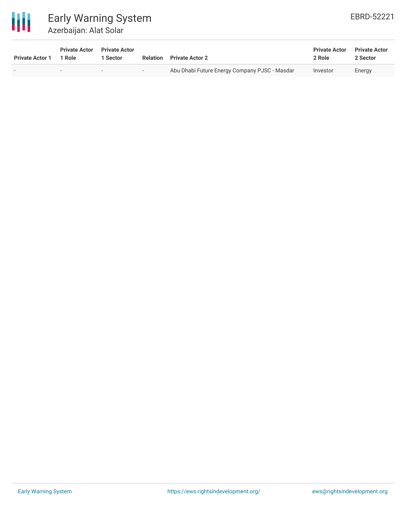

# Early Warning System Azerbaijan: Alat Solar

| <b>Private Actor 1</b> | <b>Private Actor</b><br>1 Role | <b>Private Actor</b><br>Sector | Relation | <b>Private Actor 2</b>                        | <b>Private Actor</b><br>2 Role | <b>Private Actor</b><br>2 Sector |
|------------------------|--------------------------------|--------------------------------|----------|-----------------------------------------------|--------------------------------|----------------------------------|
|                        | $\overline{\phantom{a}}$       |                                | $ -$     | Abu Dhabi Future Energy Company PJSC - Masdar | Investor                       | Energy                           |